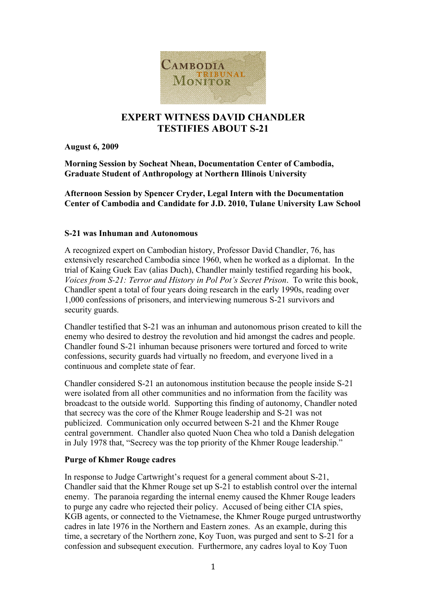

# **EXPERT WITNESS DAVID CHANDLER TESTIFIES ABOUT S-21**

**August 6, 2009**

**Morning Session by Socheat Nhean, Documentation Center of Cambodia, Graduate Student of Anthropology at Northern Illinois University** 

**Afternoon Session by Spencer Cryder, Legal Intern with the Documentation Center of Cambodia and Candidate for J.D. 2010, Tulane University Law School**

### **S-21 was Inhuman and Autonomous**

A recognized expert on Cambodian history, Professor David Chandler, 76, has extensively researched Cambodia since 1960, when he worked as a diplomat. In the trial of Kaing Guek Eav (alias Duch), Chandler mainly testified regarding his book, *Voices from S-21: Terror and History in Pol Pot's Secret Prison*. To write this book, Chandler spent a total of four years doing research in the early 1990s, reading over 1,000 confessions of prisoners, and interviewing numerous S-21 survivors and security guards.

Chandler testified that S-21 was an inhuman and autonomous prison created to kill the enemy who desired to destroy the revolution and hid amongst the cadres and people. Chandler found S-21 inhuman because prisoners were tortured and forced to write confessions, security guards had virtually no freedom, and everyone lived in a continuous and complete state of fear.

Chandler considered S-21 an autonomous institution because the people inside S-21 were isolated from all other communities and no information from the facility was broadcast to the outside world. Supporting this finding of autonomy, Chandler noted that secrecy was the core of the Khmer Rouge leadership and S-21 was not publicized. Communication only occurred between S-21 and the Khmer Rouge central government. Chandler also quoted Nuon Chea who told a Danish delegation in July 1978 that, "Secrecy was the top priority of the Khmer Rouge leadership."

### **Purge of Khmer Rouge cadres**

In response to Judge Cartwright's request for a general comment about S-21, Chandler said that the Khmer Rouge set up S-21 to establish control over the internal enemy. The paranoia regarding the internal enemy caused the Khmer Rouge leaders to purge any cadre who rejected their policy. Accused of being either CIA spies, KGB agents, or connected to the Vietnamese, the Khmer Rouge purged untrustworthy cadres in late 1976 in the Northern and Eastern zones. As an example, during this time, a secretary of the Northern zone, Koy Tuon, was purged and sent to S-21 for a confession and subsequent execution. Furthermore, any cadres loyal to Koy Tuon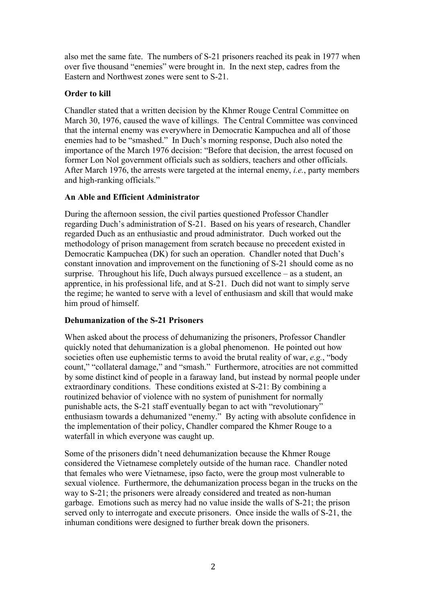also met the same fate. The numbers of S-21 prisoners reached its peak in 1977 when over five thousand "enemies" were brought in. In the next step, cadres from the Eastern and Northwest zones were sent to S-21.

### **Order to kill**

Chandler stated that a written decision by the Khmer Rouge Central Committee on March 30, 1976, caused the wave of killings. The Central Committee was convinced that the internal enemy was everywhere in Democratic Kampuchea and all of those enemies had to be "smashed." In Duch's morning response, Duch also noted the importance of the March 1976 decision: "Before that decision, the arrest focused on former Lon Nol government officials such as soldiers, teachers and other officials. After March 1976, the arrests were targeted at the internal enemy, *i.e.*, party members and high-ranking officials."

## **An Able and Efficient Administrator**

During the afternoon session, the civil parties questioned Professor Chandler regarding Duch's administration of S-21. Based on his years of research, Chandler regarded Duch as an enthusiastic and proud administrator. Duch worked out the methodology of prison management from scratch because no precedent existed in Democratic Kampuchea (DK) for such an operation. Chandler noted that Duch's constant innovation and improvement on the functioning of S-21 should come as no surprise. Throughout his life, Duch always pursued excellence – as a student, an apprentice, in his professional life, and at S-21. Duch did not want to simply serve the regime; he wanted to serve with a level of enthusiasm and skill that would make him proud of himself.

# **Dehumanization of the S-21 Prisoners**

When asked about the process of dehumanizing the prisoners, Professor Chandler quickly noted that dehumanization is a global phenomenon. He pointed out how societies often use euphemistic terms to avoid the brutal reality of war, *e.g.*, "body count," "collateral damage," and "smash." Furthermore, atrocities are not committed by some distinct kind of people in a faraway land, but instead by normal people under extraordinary conditions. These conditions existed at S-21: By combining a routinized behavior of violence with no system of punishment for normally punishable acts, the S-21 staff eventually began to act with "revolutionary" enthusiasm towards a dehumanized "enemy." By acting with absolute confidence in the implementation of their policy, Chandler compared the Khmer Rouge to a waterfall in which everyone was caught up.

Some of the prisoners didn't need dehumanization because the Khmer Rouge considered the Vietnamese completely outside of the human race. Chandler noted that females who were Vietnamese, ipso facto, were the group most vulnerable to sexual violence. Furthermore, the dehumanization process began in the trucks on the way to S-21; the prisoners were already considered and treated as non-human garbage. Emotions such as mercy had no value inside the walls of S-21; the prison served only to interrogate and execute prisoners. Once inside the walls of S-21, the inhuman conditions were designed to further break down the prisoners.